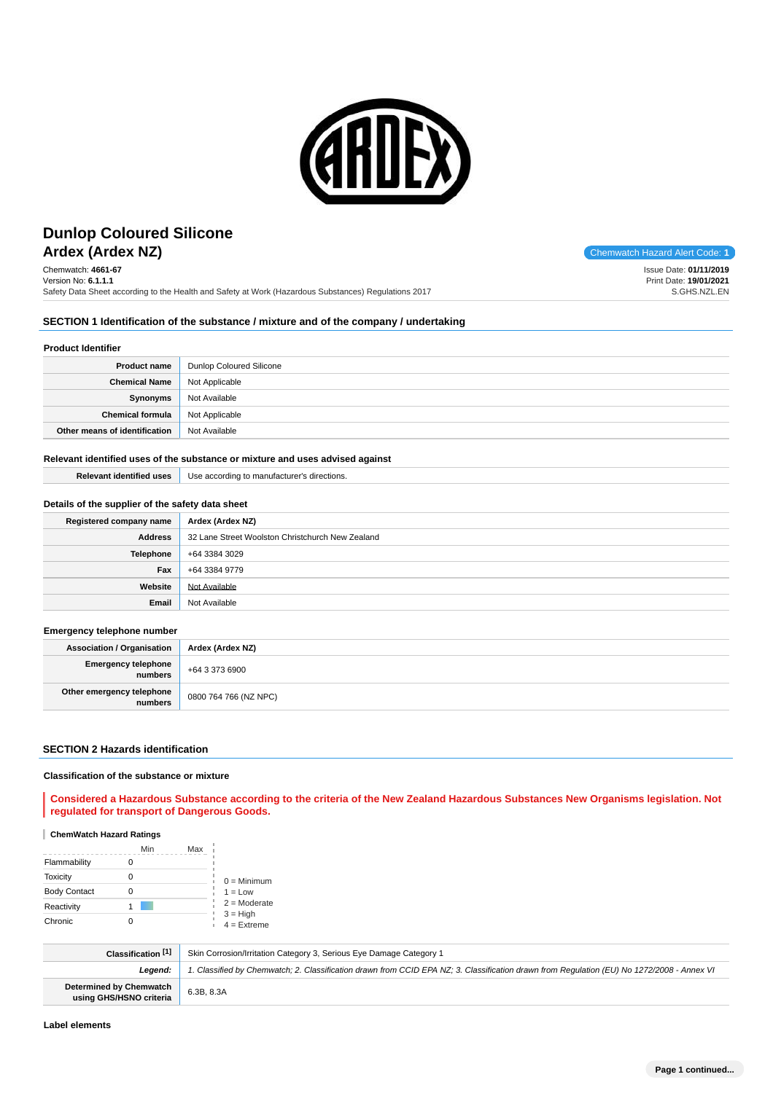

# **Ardex (Ardex NZ)** Chemwatch Hazard Alert Code: **1 Dunlop Coloured Silicone**

Chemwatch: **4661-67** Version No: **6.1.1.1** Safety Data Sheet according to the Health and Safety at Work (Hazardous Substances) Regulations 2017

Issue Date: **01/11/2019** Print Date: **19/01/2021** S.GHS.NZL.EN

#### **SECTION 1 Identification of the substance / mixture and of the company / undertaking**

#### **Product Identifier**

| <b>Product name</b>           | Dunlop Coloured Silicone |
|-------------------------------|--------------------------|
| <b>Chemical Name</b>          | Not Applicable           |
| Synonyms                      | Not Available            |
| <b>Chemical formula</b>       | Not Applicable           |
| Other means of identification | Not Available            |

#### **Relevant identified uses of the substance or mixture and uses advised against**

| <b>Relevant identified uses</b> | Use according to manufacturer's directions. |
|---------------------------------|---------------------------------------------|
|                                 |                                             |

#### **Details of the supplier of the safety data sheet**

| Registered company name | Ardex (Ardex NZ)                                 |
|-------------------------|--------------------------------------------------|
| <b>Address</b>          | 32 Lane Street Woolston Christchurch New Zealand |
| <b>Telephone</b>        | +64 3384 3029                                    |
| Fax                     | +64 3384 9779                                    |
| Website                 | Not Available                                    |
| Email                   | Not Available                                    |

#### **Emergency telephone number**

| <b>Association / Organisation</b>    | Ardex (Ardex NZ)      |
|--------------------------------------|-----------------------|
| Emergency telephone<br>numbers       | +64 3 373 6900        |
| Other emergency telephone<br>numbers | 0800 764 766 (NZ NPC) |

#### **SECTION 2 Hazards identification**

#### **Classification of the substance or mixture**

#### **Considered a Hazardous Substance according to the criteria of the New Zealand Hazardous Substances New Organisms legislation. Not regulated for transport of Dangerous Goods.**

#### **ChemWatch Hazard Ratings**

|                     | Min | Max |                             |
|---------------------|-----|-----|-----------------------------|
| Flammability        |     |     |                             |
| <b>Toxicity</b>     |     |     | $0 =$ Minimum               |
| <b>Body Contact</b> |     |     | $1 = Low$                   |
| Reactivity          |     |     | $2 =$ Moderate              |
| Chronic             |     |     | $3 = High$<br>$4 =$ Extreme |

| Classification [1]                                        | Skin Corrosion/Irritation Category 3, Serious Eye Damage Category 1                                                                        |
|-----------------------------------------------------------|--------------------------------------------------------------------------------------------------------------------------------------------|
| Leaend:                                                   | 1. Classified by Chemwatch; 2. Classification drawn from CCID EPA NZ; 3. Classification drawn from Requlation (EU) No 1272/2008 - Annex VI |
| <b>Determined by Chemwatch</b><br>using GHS/HSNO criteria | 6.3B, 8.3A                                                                                                                                 |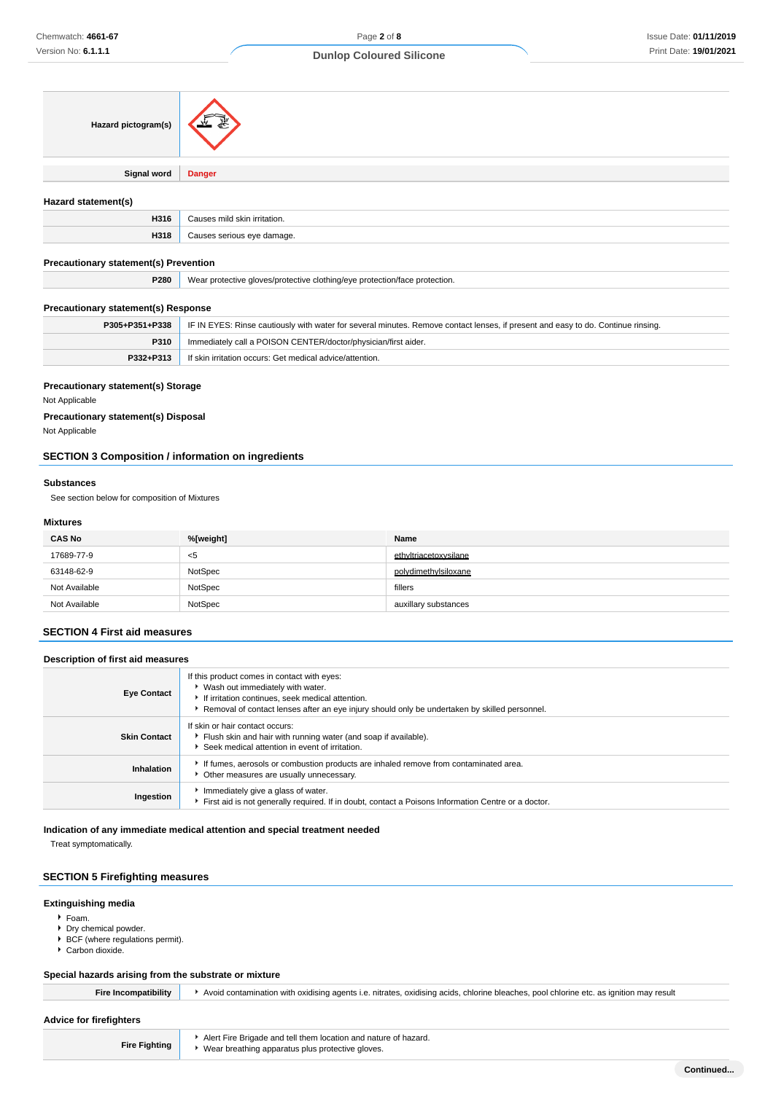| Hazard pictogram(s)                          |                              |  |
|----------------------------------------------|------------------------------|--|
| <b>Signal word</b>                           | <b>Danger</b>                |  |
| Hazard statement(s)                          |                              |  |
| H316                                         | Causes mild skin irritation. |  |
| H318                                         | Causes serious eye damage.   |  |
| <b>Precautionary statement(s) Prevention</b> |                              |  |

| P280 | Wear protective gloves/protective clothing/eve protection/face protection. |
|------|----------------------------------------------------------------------------|
|      |                                                                            |

## **Precautionary statement(s) Response**

|             | <b>P305+P351+P338</b>   IF IN EYES: Rinse cautiously with water for several minutes. Remove contact lenses, if present and easy to do. Continue rinsing. |
|-------------|----------------------------------------------------------------------------------------------------------------------------------------------------------|
| <b>P310</b> | Immediately call a POISON CENTER/doctor/physician/first aider.                                                                                           |
| P332+P313   | If skin irritation occurs: Get medical advice/attention.                                                                                                 |

#### **Precautionary statement(s) Storage**

Not Applicable

## **Precautionary statement(s) Disposal**

Not Applicable

## **SECTION 3 Composition / information on ingredients**

#### **Substances**

See section below for composition of Mixtures

#### **Mixtures**

| <b>CAS No</b> | %[weight] | Name                  |
|---------------|-----------|-----------------------|
| 17689-77-9    | $5$       | ethyltriacetoxysilane |
| 63148-62-9    | NotSpec   | polydimethylsiloxane  |
| Not Available | NotSpec   | fillers               |
| Not Available | NotSpec   | auxillary substances  |

#### **SECTION 4 First aid measures**

| Description of first aid measures |                                                                                                                                                                                                                                        |  |
|-----------------------------------|----------------------------------------------------------------------------------------------------------------------------------------------------------------------------------------------------------------------------------------|--|
| <b>Eye Contact</b>                | If this product comes in contact with eyes:<br>▶ Wash out immediately with water.<br>If irritation continues, seek medical attention.<br>Removal of contact lenses after an eye injury should only be undertaken by skilled personnel. |  |
| <b>Skin Contact</b>               | If skin or hair contact occurs:<br>Flush skin and hair with running water (and soap if available).<br>Seek medical attention in event of irritation.                                                                                   |  |
| Inhalation                        | If fumes, aerosols or combustion products are inhaled remove from contaminated area.<br>Other measures are usually unnecessary.                                                                                                        |  |
| Ingestion                         | Immediately give a glass of water.<br>First aid is not generally required. If in doubt, contact a Poisons Information Centre or a doctor.                                                                                              |  |

#### **Indication of any immediate medical attention and special treatment needed**

Treat symptomatically.

#### **SECTION 5 Firefighting measures**

#### **Extinguishing media**

- Foam.
- Dry chemical powder.
- $\blacktriangleright$  BCF (where regulations permit).
- Carbon dioxide.

## **Special hazards arising from the substrate or mixture**

| Fire Incompatibility    | Avoid contamination with oxidising agents i.e. nitrates, oxidising acids, chlorine bleaches, pool chlorine etc. as ignition may result |
|-------------------------|----------------------------------------------------------------------------------------------------------------------------------------|
| Advice for firefighters |                                                                                                                                        |
|                         |                                                                                                                                        |
|                         | Alert Fire Brigade and tell them location and nature of bazard                                                                         |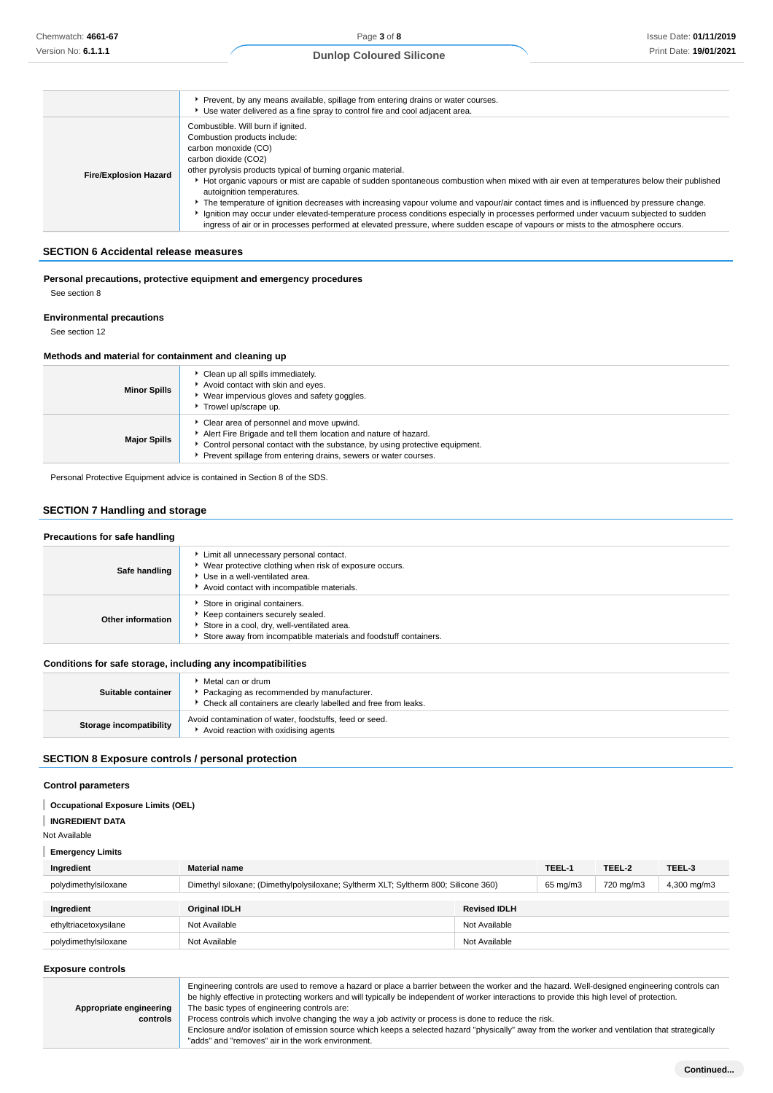|                              | Prevent, by any means available, spillage from entering drains or water courses.<br>▶ Use water delivered as a fine spray to control fire and cool adjacent area.                                                                                                                                                                                                                                                                                                                                                                                                                                                                                                                                                                                                                   |
|------------------------------|-------------------------------------------------------------------------------------------------------------------------------------------------------------------------------------------------------------------------------------------------------------------------------------------------------------------------------------------------------------------------------------------------------------------------------------------------------------------------------------------------------------------------------------------------------------------------------------------------------------------------------------------------------------------------------------------------------------------------------------------------------------------------------------|
| <b>Fire/Explosion Hazard</b> | Combustible. Will burn if ignited.<br>Combustion products include:<br>carbon monoxide (CO)<br>carbon dioxide (CO2)<br>other pyrolysis products typical of burning organic material.<br>Hot organic vapours or mist are capable of sudden spontaneous combustion when mixed with air even at temperatures below their published<br>autoignition temperatures.<br>• The temperature of ignition decreases with increasing vapour volume and vapour/air contact times and is influenced by pressure change.<br>Ignition may occur under elevated-temperature process conditions especially in processes performed under vacuum subjected to sudden<br>ingress of air or in processes performed at elevated pressure, where sudden escape of vapours or mists to the atmosphere occurs. |

#### **SECTION 6 Accidental release measures**

#### **Personal precautions, protective equipment and emergency procedures** See section 8

## **Environmental precautions**

See section 12

#### **Methods and material for containment and cleaning up**

| <b>Minor Spills</b> | Clean up all spills immediately.<br>Avoid contact with skin and eyes.<br>Wear impervious gloves and safety goggles.<br>Trowel up/scrape up.                                                                                                                     |
|---------------------|-----------------------------------------------------------------------------------------------------------------------------------------------------------------------------------------------------------------------------------------------------------------|
| <b>Major Spills</b> | Clear area of personnel and move upwind.<br>Alert Fire Brigade and tell them location and nature of hazard.<br>* Control personal contact with the substance, by using protective equipment.<br>Prevent spillage from entering drains, sewers or water courses. |

Personal Protective Equipment advice is contained in Section 8 of the SDS.

## **SECTION 7 Handling and storage**

| Precautions for safe handling |                                                                                                                                                                                      |  |  |
|-------------------------------|--------------------------------------------------------------------------------------------------------------------------------------------------------------------------------------|--|--|
| Safe handling                 | Limit all unnecessary personal contact.<br>▶ Wear protective clothing when risk of exposure occurs.<br>Use in a well-ventilated area.<br>Avoid contact with incompatible materials.  |  |  |
| Other information             | Store in original containers.<br>Keep containers securely sealed.<br>Store in a cool, dry, well-ventilated area.<br>Store away from incompatible materials and foodstuff containers. |  |  |
|                               |                                                                                                                                                                                      |  |  |

## **Conditions for safe storage, including any incompatibilities**

| Suitable container      | Metal can or drum<br>Packaging as recommended by manufacturer.<br>• Check all containers are clearly labelled and free from leaks. |
|-------------------------|------------------------------------------------------------------------------------------------------------------------------------|
| Storage incompatibility | Avoid contamination of water, foodstuffs, feed or seed.<br>Avoid reaction with oxidising agents                                    |

## **SECTION 8 Exposure controls / personal protection**

#### **Control parameters**

**Occupational Exposure Limits (OEL)**

#### **INGREDIENT DATA**

Not Available

#### **Emergency Limits**

| Ingredient            | <b>Material name</b>                                                                |                     |  | TEEL-2    | TEEL-3      |
|-----------------------|-------------------------------------------------------------------------------------|---------------------|--|-----------|-------------|
| polydimethylsiloxane  | Dimethyl siloxane; (Dimethylpolysiloxane; Syltherm XLT; Syltherm 800; Silicone 360) |                     |  | 720 mg/m3 | 4,300 mg/m3 |
| Ingredient            | <b>Original IDLH</b>                                                                | <b>Revised IDLH</b> |  |           |             |
|                       |                                                                                     |                     |  |           |             |
| ethyltriacetoxysilane | Not Available                                                                       | Not Available       |  |           |             |
| polydimethylsiloxane  | Not Available                                                                       | Not Available       |  |           |             |

#### **Exposure controls**

|                         | Engineering controls are used to remove a hazard or place a barrier between the worker and the hazard. Well-designed engineering controls can<br>be highly effective in protecting workers and will typically be independent of worker interactions to provide this high level of protection. |
|-------------------------|-----------------------------------------------------------------------------------------------------------------------------------------------------------------------------------------------------------------------------------------------------------------------------------------------|
| Appropriate engineering | The basic types of engineering controls are:                                                                                                                                                                                                                                                  |
| controls                | Process controls which involve changing the way a job activity or process is done to reduce the risk.                                                                                                                                                                                         |
|                         | Enclosure and/or isolation of emission source which keeps a selected hazard "physically" away from the worker and ventilation that strategically                                                                                                                                              |
|                         | "adds" and "removes" air in the work environment.                                                                                                                                                                                                                                             |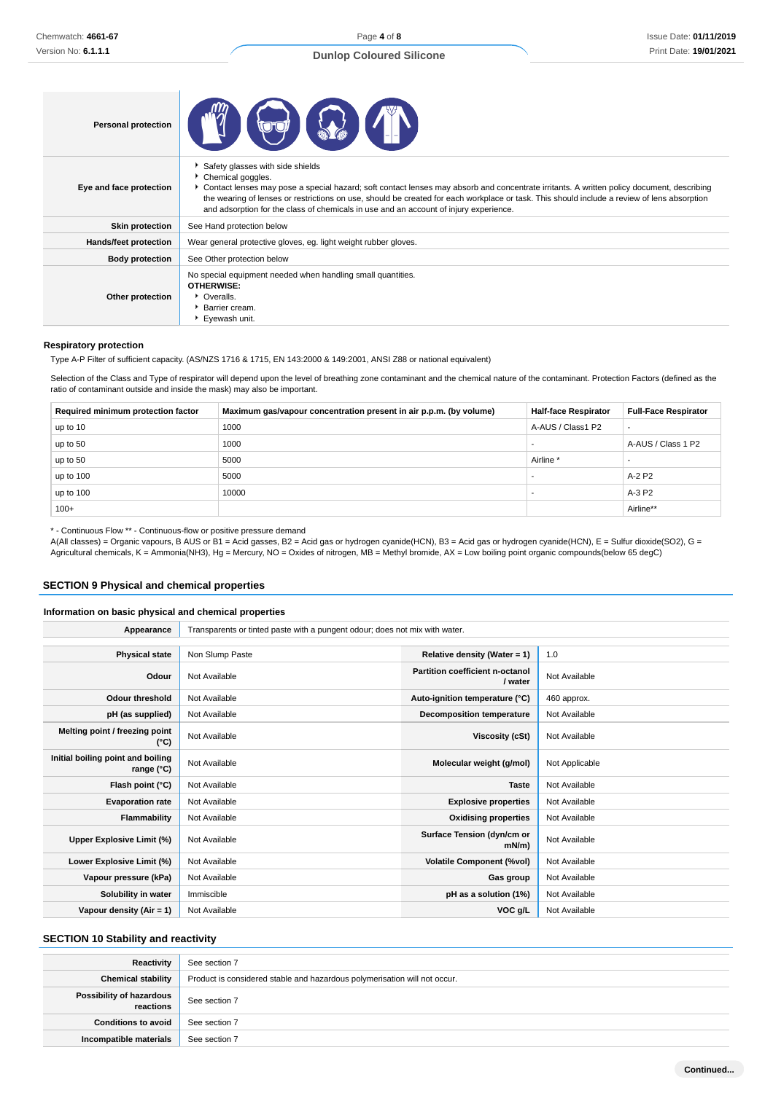Page **4** of **8**

| <b>Personal protection</b>   |                                                                                                                                                                                                                                                                                                                                                                                                                                            |
|------------------------------|--------------------------------------------------------------------------------------------------------------------------------------------------------------------------------------------------------------------------------------------------------------------------------------------------------------------------------------------------------------------------------------------------------------------------------------------|
| Eye and face protection      | Safety glasses with side shields<br>Chemical goggles.<br>Contact lenses may pose a special hazard; soft contact lenses may absorb and concentrate irritants. A written policy document, describing<br>the wearing of lenses or restrictions on use, should be created for each workplace or task. This should include a review of lens absorption<br>and adsorption for the class of chemicals in use and an account of injury experience. |
| <b>Skin protection</b>       | See Hand protection below                                                                                                                                                                                                                                                                                                                                                                                                                  |
| <b>Hands/feet protection</b> | Wear general protective gloves, eg. light weight rubber gloves.                                                                                                                                                                                                                                                                                                                                                                            |
| <b>Body protection</b>       | See Other protection below                                                                                                                                                                                                                                                                                                                                                                                                                 |
| Other protection             | No special equipment needed when handling small quantities.<br>OTHERWISE:<br>• Overalls.<br>Barrier cream.<br>Eyewash unit.                                                                                                                                                                                                                                                                                                                |

#### **Respiratory protection**

Type A-P Filter of sufficient capacity. (AS/NZS 1716 & 1715, EN 143:2000 & 149:2001, ANSI Z88 or national equivalent)

Selection of the Class and Type of respirator will depend upon the level of breathing zone contaminant and the chemical nature of the contaminant. Protection Factors (defined as the ratio of contaminant outside and inside the mask) may also be important.

| Required minimum protection factor | Maximum gas/vapour concentration present in air p.p.m. (by volume) | <b>Half-face Respirator</b> | <b>Full-Face Respirator</b> |
|------------------------------------|--------------------------------------------------------------------|-----------------------------|-----------------------------|
| up to 10                           | 1000                                                               | A-AUS / Class1 P2           | $\overline{\phantom{a}}$    |
| up to 50                           | 1000                                                               |                             | A-AUS / Class 1 P2          |
| up to 50                           | 5000                                                               | Airline <sup>'</sup>        |                             |
| up to 100                          | 5000                                                               | $\sim$                      | A-2 P2                      |
| up to $100$                        | 10000                                                              |                             | $A-3P2$                     |
| $100+$                             |                                                                    |                             | Airline**                   |

\* - Continuous Flow \*\* - Continuous-flow or positive pressure demand

A(All classes) = Organic vapours, B AUS or B1 = Acid gasses, B2 = Acid gas or hydrogen cyanide(HCN), B3 = Acid gas or hydrogen cyanide(HCN), E = Sulfur dioxide(SO2), G = Agricultural chemicals, K = Ammonia(NH3), Hg = Mercury, NO = Oxides of nitrogen, MB = Methyl bromide, AX = Low boiling point organic compounds(below 65 degC)

#### **SECTION 9 Physical and chemical properties**

#### **Information on basic physical and chemical properties**

**Appearance** Transparents or tinted paste with a pungent odour; does not mix with water. **Physical state** Non Slump Paste **Relative density (Water = 1)** 1.0 **Odour** Not Available **Partition coefficient n-octanol Not Available Odour threshold** Not Available **Auto-ignition temperature (°C)** 460 approx. **pH (as supplied)** Not Available **Decomposition temperature** Not Available **Melting point / freezing point CONFIDENTIAL CONFIDENTIAL CONFIDENTIAL CONFIDENTIAL CONFIDENTIAL Viscosity (cSt)** Not Available (°C) **Initial boiling point and boiling range (°C)** Not Available **Molecular weight (g/mol)** Not Applicable **range (°C)** Not Applicable **Flash point (°C)** Not Available **Taste** Not Available **Taste** Not Available **Evaporation rate** Not Available **Explosive properties** Not Available **Explosive properties** Not Available **Flammability** Not Available **Not Available Calculate Available Oxidising properties** Not Available Upper Explosive Limit (%) **Not Available Surface Tension (dyn/cm or Surface Tension (dyn/cm or mN/m) Not Available Lower Explosive Limit (%)** Not Available **Volatile Component (%vol)** Not Available **Vapour pressure (kPa)** Not Available **Gas group** Not Available **Gas group** Not Available **Solubility in water** Immiscible **pH as a solution (1%)** Not Available **Vapour density (Air = 1)** Not Available **VOC g/L** Not Available **VOC g/L** Not Available

#### **SECTION 10 Stability and reactivity**

| Reactivity                            | See section 7                                                             |
|---------------------------------------|---------------------------------------------------------------------------|
| <b>Chemical stability</b>             | Product is considered stable and hazardous polymerisation will not occur. |
| Possibility of hazardous<br>reactions | See section 7                                                             |
| <b>Conditions to avoid</b>            | See section 7                                                             |
| Incompatible materials                | See section 7                                                             |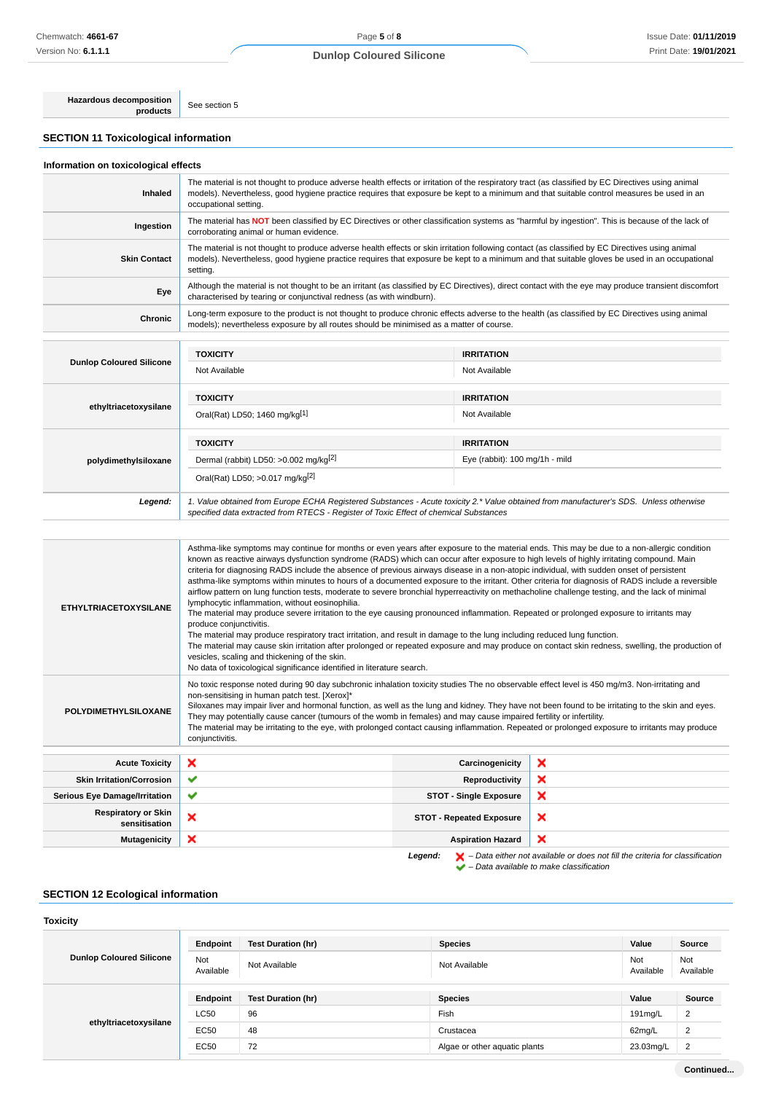## Page **5** of **8 Dunlop Coloured Silicone**

**Hazardous decomposition**

**SECTION 11 Toxicological information**

See section 5

| Information on toxicological effects |                                                                                                                                                                                                                                                                                                                                                                                                                                                                                                                                                                                                                                                                                                                                                                                                                                                                                                                                                                                                                                                                                                                                                                                                                                                                                                                                                                              |                                                                                                                                                                                                                                                                                                                                                                                                                          |  |  |
|--------------------------------------|------------------------------------------------------------------------------------------------------------------------------------------------------------------------------------------------------------------------------------------------------------------------------------------------------------------------------------------------------------------------------------------------------------------------------------------------------------------------------------------------------------------------------------------------------------------------------------------------------------------------------------------------------------------------------------------------------------------------------------------------------------------------------------------------------------------------------------------------------------------------------------------------------------------------------------------------------------------------------------------------------------------------------------------------------------------------------------------------------------------------------------------------------------------------------------------------------------------------------------------------------------------------------------------------------------------------------------------------------------------------------|--------------------------------------------------------------------------------------------------------------------------------------------------------------------------------------------------------------------------------------------------------------------------------------------------------------------------------------------------------------------------------------------------------------------------|--|--|
| Inhaled                              | The material is not thought to produce adverse health effects or irritation of the respiratory tract (as classified by EC Directives using animal<br>models). Nevertheless, good hygiene practice requires that exposure be kept to a minimum and that suitable control measures be used in an<br>occupational setting.                                                                                                                                                                                                                                                                                                                                                                                                                                                                                                                                                                                                                                                                                                                                                                                                                                                                                                                                                                                                                                                      |                                                                                                                                                                                                                                                                                                                                                                                                                          |  |  |
| Ingestion                            | The material has NOT been classified by EC Directives or other classification systems as "harmful by ingestion". This is because of the lack of<br>corroborating animal or human evidence.                                                                                                                                                                                                                                                                                                                                                                                                                                                                                                                                                                                                                                                                                                                                                                                                                                                                                                                                                                                                                                                                                                                                                                                   |                                                                                                                                                                                                                                                                                                                                                                                                                          |  |  |
| <b>Skin Contact</b>                  | The material is not thought to produce adverse health effects or skin irritation following contact (as classified by EC Directives using animal<br>models). Nevertheless, good hygiene practice requires that exposure be kept to a minimum and that suitable gloves be used in an occupational<br>setting.                                                                                                                                                                                                                                                                                                                                                                                                                                                                                                                                                                                                                                                                                                                                                                                                                                                                                                                                                                                                                                                                  |                                                                                                                                                                                                                                                                                                                                                                                                                          |  |  |
| Eye                                  | Although the material is not thought to be an irritant (as classified by EC Directives), direct contact with the eye may produce transient discomfort<br>characterised by tearing or conjunctival redness (as with windburn).                                                                                                                                                                                                                                                                                                                                                                                                                                                                                                                                                                                                                                                                                                                                                                                                                                                                                                                                                                                                                                                                                                                                                |                                                                                                                                                                                                                                                                                                                                                                                                                          |  |  |
| Chronic                              | Long-term exposure to the product is not thought to produce chronic effects adverse to the health (as classified by EC Directives using animal<br>models); nevertheless exposure by all routes should be minimised as a matter of course.                                                                                                                                                                                                                                                                                                                                                                                                                                                                                                                                                                                                                                                                                                                                                                                                                                                                                                                                                                                                                                                                                                                                    |                                                                                                                                                                                                                                                                                                                                                                                                                          |  |  |
|                                      | <b>TOXICITY</b>                                                                                                                                                                                                                                                                                                                                                                                                                                                                                                                                                                                                                                                                                                                                                                                                                                                                                                                                                                                                                                                                                                                                                                                                                                                                                                                                                              | <b>IRRITATION</b>                                                                                                                                                                                                                                                                                                                                                                                                        |  |  |
| <b>Dunlop Coloured Silicone</b>      | Not Available                                                                                                                                                                                                                                                                                                                                                                                                                                                                                                                                                                                                                                                                                                                                                                                                                                                                                                                                                                                                                                                                                                                                                                                                                                                                                                                                                                | Not Available                                                                                                                                                                                                                                                                                                                                                                                                            |  |  |
|                                      | <b>TOXICITY</b>                                                                                                                                                                                                                                                                                                                                                                                                                                                                                                                                                                                                                                                                                                                                                                                                                                                                                                                                                                                                                                                                                                                                                                                                                                                                                                                                                              | <b>IRRITATION</b>                                                                                                                                                                                                                                                                                                                                                                                                        |  |  |
| ethyltriacetoxysilane                | Oral(Rat) LD50; 1460 mg/kg[1]                                                                                                                                                                                                                                                                                                                                                                                                                                                                                                                                                                                                                                                                                                                                                                                                                                                                                                                                                                                                                                                                                                                                                                                                                                                                                                                                                | Not Available                                                                                                                                                                                                                                                                                                                                                                                                            |  |  |
|                                      | <b>TOXICITY</b>                                                                                                                                                                                                                                                                                                                                                                                                                                                                                                                                                                                                                                                                                                                                                                                                                                                                                                                                                                                                                                                                                                                                                                                                                                                                                                                                                              | <b>IRRITATION</b>                                                                                                                                                                                                                                                                                                                                                                                                        |  |  |
| polydimethylsiloxane                 | Dermal (rabbit) LD50: >0.002 mg/kg <sup>[2]</sup>                                                                                                                                                                                                                                                                                                                                                                                                                                                                                                                                                                                                                                                                                                                                                                                                                                                                                                                                                                                                                                                                                                                                                                                                                                                                                                                            | Eye (rabbit): 100 mg/1h - mild                                                                                                                                                                                                                                                                                                                                                                                           |  |  |
|                                      | Oral(Rat) LD50; >0.017 mg/kg <sup>[2]</sup>                                                                                                                                                                                                                                                                                                                                                                                                                                                                                                                                                                                                                                                                                                                                                                                                                                                                                                                                                                                                                                                                                                                                                                                                                                                                                                                                  |                                                                                                                                                                                                                                                                                                                                                                                                                          |  |  |
| Legend:                              | specified data extracted from RTECS - Register of Toxic Effect of chemical Substances                                                                                                                                                                                                                                                                                                                                                                                                                                                                                                                                                                                                                                                                                                                                                                                                                                                                                                                                                                                                                                                                                                                                                                                                                                                                                        | 1. Value obtained from Europe ECHA Registered Substances - Acute toxicity 2.* Value obtained from manufacturer's SDS. Unless otherwise                                                                                                                                                                                                                                                                                   |  |  |
|                                      |                                                                                                                                                                                                                                                                                                                                                                                                                                                                                                                                                                                                                                                                                                                                                                                                                                                                                                                                                                                                                                                                                                                                                                                                                                                                                                                                                                              |                                                                                                                                                                                                                                                                                                                                                                                                                          |  |  |
| <b>ETHYLTRIACETOXYSILANE</b>         | Asthma-like symptoms may continue for months or even years after exposure to the material ends. This may be due to a non-allergic condition<br>known as reactive airways dysfunction syndrome (RADS) which can occur after exposure to high levels of highly irritating compound. Main<br>criteria for diagnosing RADS include the absence of previous airways disease in a non-atopic individual, with sudden onset of persistent<br>asthma-like symptoms within minutes to hours of a documented exposure to the irritant. Other criteria for diagnosis of RADS include a reversible<br>airflow pattern on lung function tests, moderate to severe bronchial hyperreactivity on methacholine challenge testing, and the lack of minimal<br>lymphocytic inflammation, without eosinophilia.<br>The material may produce severe irritation to the eye causing pronounced inflammation. Repeated or prolonged exposure to irritants may<br>produce conjunctivitis.<br>The material may produce respiratory tract irritation, and result in damage to the lung including reduced lung function.<br>The material may cause skin irritation after prolonged or repeated exposure and may produce on contact skin redness, swelling, the production of<br>vesicles, scaling and thickening of the skin.<br>No data of toxicological significance identified in literature search. |                                                                                                                                                                                                                                                                                                                                                                                                                          |  |  |
| POLYDIMETHYLSILOXANE                 | non-sensitising in human patch test. [Xerox]*                                                                                                                                                                                                                                                                                                                                                                                                                                                                                                                                                                                                                                                                                                                                                                                                                                                                                                                                                                                                                                                                                                                                                                                                                                                                                                                                | No toxic response noted during 90 day subchronic inhalation toxicity studies The no observable effect level is 450 mg/m3. Non-irritating and<br>Siloxanes may impair liver and hormonal function, as well as the lung and kidney. They have not been found to be irritating to the skin and eyes.<br>They may potentially cause cancer (tumours of the womb in females) and may cause impaired fertility or infertility. |  |  |

The material may be irritating to the eye, with prolonged contact causing inflammation. Repeated or prolonged exposure to irritants may produce conjunctivitis.

| <b>Acute Toxicity</b>                       | $\boldsymbol{\mathsf{x}}$ | Carcinogenicity                 | - ×                       |
|---------------------------------------------|---------------------------|---------------------------------|---------------------------|
| <b>Skin Irritation/Corrosion</b>            | $\checkmark$              | Reproductivity                  | $\boldsymbol{\mathsf{x}}$ |
| <b>Serious Eye Damage/Irritation</b>        | $\checkmark$              | <b>STOT - Single Exposure</b>   | ×                         |
| <b>Respiratory or Skin</b><br>sensitisation | $\boldsymbol{\mathsf{x}}$ | <b>STOT - Repeated Exposure</b> | $\boldsymbol{\mathsf{x}}$ |
| <b>Mutagenicity</b>                         | ×                         | <b>Aspiration Hazard</b>        | ×                         |
|                                             |                           |                                 |                           |

**Legend:**  $\mathbf{X}$  – Data either not available or does not fill the criteria for classification

#### – Data available to make classification

## **SECTION 12 Ecological information**

#### **Toxicity Dunlop Coloured Silicone Endpoint Test Duration (hr) Species Value Source** Not<br>Available Not Not Available Not Available Not Available Not Available Not Available Not Ava<br>Available Ava Available Not Available **ethyltriacetoxysilane Endpoint Test Duration (hr) Species Value Source**  $\left\lfloor \begin{array}{ccc} \text{\small LO} & \text{\small 96} \end{array} \right\rfloor$  96  $\left\lfloor \begin{array}{ccc} \text{\small 99} & \text{\small 191mg/L} \end{array} \right\rfloor$ EC50 48 Crustacea Crustacea 62mg/L 2 EC50 72 Algae or other aquatic plants 23.03mg/L 2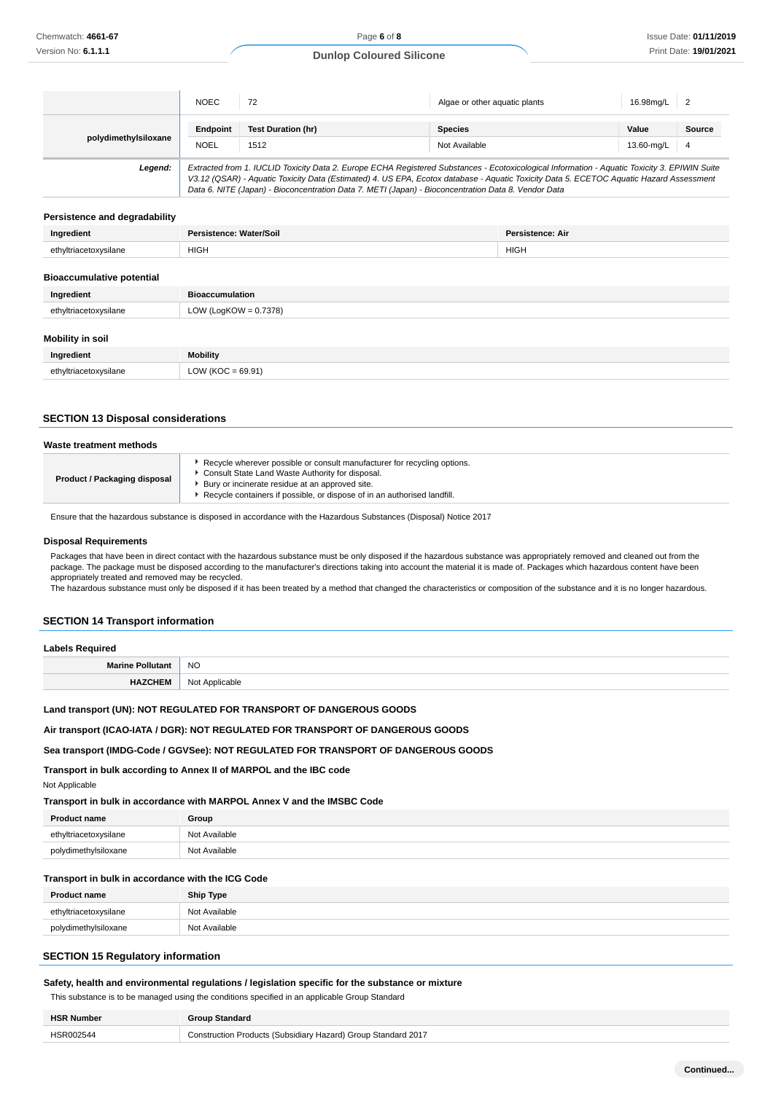|                      | <b>NOEC</b>                                                                                                                                                                                                                                                                                                                                                                                     | 72                                | Algae or other aguatic plants   | 16.98mg/L           |             |
|----------------------|-------------------------------------------------------------------------------------------------------------------------------------------------------------------------------------------------------------------------------------------------------------------------------------------------------------------------------------------------------------------------------------------------|-----------------------------------|---------------------------------|---------------------|-------------|
| polydimethylsiloxane | Endpoint<br><b>NOEL</b>                                                                                                                                                                                                                                                                                                                                                                         | <b>Test Duration (hr)</b><br>1512 | <b>Species</b><br>Not Available | Value<br>13.60-mg/L | Source<br>4 |
| Legend:              | Extracted from 1. IUCLID Toxicity Data 2. Europe ECHA Registered Substances - Ecotoxicological Information - Aquatic Toxicity 3. EPIWIN Suite<br>V3.12 (QSAR) - Aquatic Toxicity Data (Estimated) 4. US EPA, Ecotox database - Aquatic Toxicity Data 5. ECETOC Aquatic Hazard Assessment<br>Data 6. NITE (Japan) - Bioconcentration Data 7. METI (Japan) - Bioconcentration Data 8. Vendor Data |                                   |                                 |                     |             |

#### **Persistence and degradability**

| Ingradiant | Nater/Soil<br>****^^ | <b>Persistence: Air</b> |
|------------|----------------------|-------------------------|
| 'lane      | <b>HIGH</b>          | <b>HIGH</b>             |
|            |                      |                         |

## **Bioaccumulative potential**

| Ingredient            | <b>Bioaccumulation</b>   |
|-----------------------|--------------------------|
| ethyltriacetoxysilane | LOW (LogKOW = $0.7378$ ) |
|                       |                          |

#### **Mobility in soil**

| Ingredient            | <b>Mobility</b>      |
|-----------------------|----------------------|
| ethyltriacetoxysilane | $= 69.91$            |
| .                     | $\sim$ $\sim$ $\sim$ |

#### **SECTION 13 Disposal considerations**

| Recycle wherever possible or consult manufacturer for recycling options.<br>Consult State Land Waste Authority for disposal.<br>Product / Packaging disposal<br>Bury or incinerate residue at an approved site. | Waste treatment methods |                                                                          |
|-----------------------------------------------------------------------------------------------------------------------------------------------------------------------------------------------------------------|-------------------------|--------------------------------------------------------------------------|
|                                                                                                                                                                                                                 |                         | Recycle containers if possible, or dispose of in an authorised landfill. |

Ensure that the hazardous substance is disposed in accordance with the Hazardous Substances (Disposal) Notice 2017

#### **Disposal Requirements**

Not Applicable

Packages that have been in direct contact with the hazardous substance must be only disposed if the hazardous substance was appropriately removed and cleaned out from the package. The package must be disposed according to the manufacturer's directions taking into account the material it is made of. Packages which hazardous content have been appropriately treated and removed may be recycled.

The hazardous substance must only be disposed if it has been treated by a method that changed the characteristics or composition of the substance and it is no longer hazardous.

## **SECTION 14 Transport information**

| <b>Labels Required</b> |  |
|------------------------|--|
| Marine Pollutant NO    |  |

| $m$ an $n \in I$ vituturit | . <u>.</u>     |
|----------------------------|----------------|
| <b>HAZCHEM</b>             | Not Applicable |

#### **Land transport (UN): NOT REGULATED FOR TRANSPORT OF DANGEROUS GOODS**

#### **Air transport (ICAO-IATA / DGR): NOT REGULATED FOR TRANSPORT OF DANGEROUS GOODS**

#### **Sea transport (IMDG-Code / GGVSee): NOT REGULATED FOR TRANSPORT OF DANGEROUS GOODS**

**Transport in bulk according to Annex II of MARPOL and the IBC code**

**Transport in bulk in accordance with MARPOL Annex V and the IMSBC Code**

| <b>Product name</b>   | Group         |
|-----------------------|---------------|
| ethyltriacetoxysilane | Not Available |
| polydimethylsiloxane  | Not Available |

## **Transport in bulk in accordance with the ICG Code**

| <b>Product name</b>   | <b>Ship Type</b> |
|-----------------------|------------------|
| ethyltriacetoxysilane | Not Available    |
| polydimethylsiloxane  | Not Available    |

## **SECTION 15 Regulatory information**

#### **Safety, health and environmental regulations / legislation specific for the substance or mixture**

This substance is to be managed using the conditions specified in an applicable Group Standard

| <b>HSR Number</b> | <b>Group Standard</b>                                         |
|-------------------|---------------------------------------------------------------|
| HSR002544         | Construction Products (Subsidiary Hazard) Group Standard 2017 |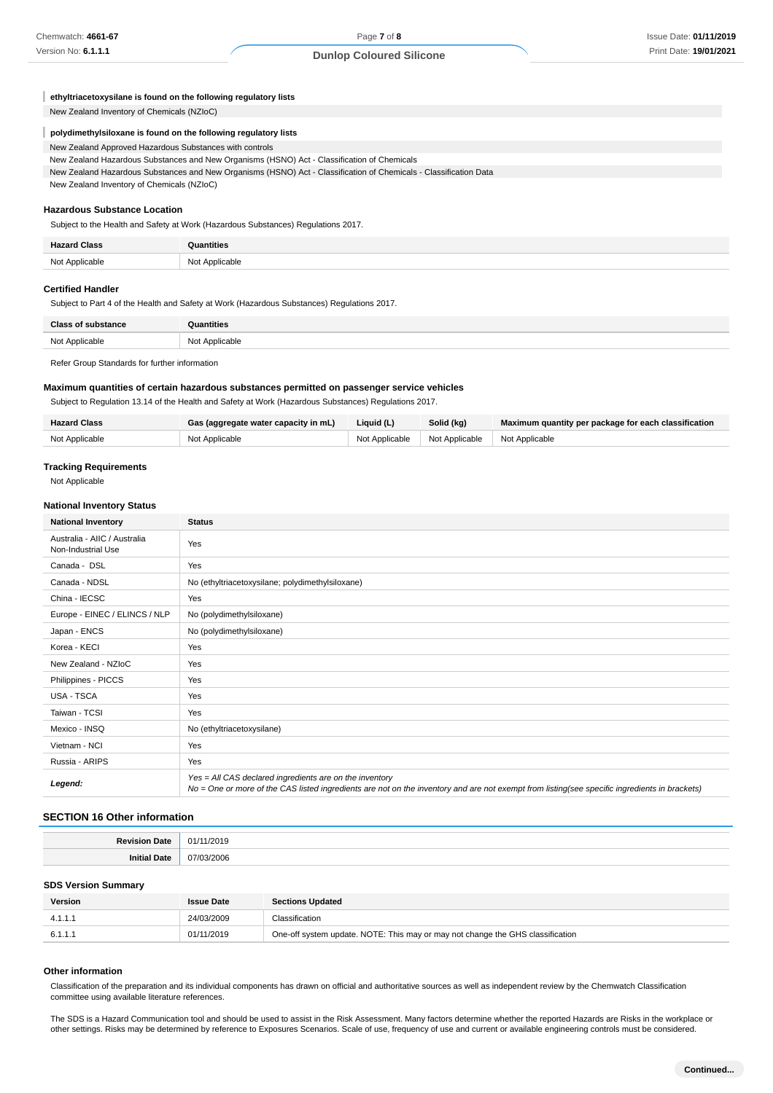| ethyltriacetoxysilane is found on the following regulatory lists |  |  |
|------------------------------------------------------------------|--|--|
|------------------------------------------------------------------|--|--|

New Zealand Inventory of Chemicals (NZIoC)

#### **polydimethylsiloxane is found on the following regulatory lists** ı

| New Zealand Approved Hazardous Substances with controls                                     |
|---------------------------------------------------------------------------------------------|
| New Zealand Hazardous Substances and New Organisms (HSNO) Act - Classification of Chemicals |

New Zealand Hazardous Substances and New Organisms (HSNO) Act - Classification of Chemicals - Classification Data New Zealand Inventory of Chemicals (NZIoC)

**Hazardous Substance Location**

Subject to the Health and Safety at Work (Hazardous Substances) Regulations 2017.

| <b>Hazard Class</b><br>ылазз | ıntities       |
|------------------------------|----------------|
| Not Applicable               | Not Applicable |

#### **Certified Handler**

Subject to Part 4 of the Health and Safety at Work (Hazardous Substances) Regulations 2017.

| <b>Class of substance</b> | Quantities     |
|---------------------------|----------------|
| Not Applicable            | Not Applicable |
|                           |                |

Refer Group Standards for further information

#### **Maximum quantities of certain hazardous substances permitted on passenger service vehicles**

Subject to Regulation 13.14 of the Health and Safety at Work (Hazardous Substances) Regulations 2017.

| <b>Hazard Class</b> | Gas (aggregate water capacity in mL) | Liquid (L) | Solid (kg)                                       | Maximum quantity per package for each classification |
|---------------------|--------------------------------------|------------|--------------------------------------------------|------------------------------------------------------|
| Not Applicable      | Not Applicable                       |            | Not Applicable   Not Applicable   Not Applicable |                                                      |

#### **Tracking Requirements**

Not Applicable

#### **National Inventory Status**

| <b>National Inventory</b>                          | <b>Status</b>                                                                                                                                                                                            |  |
|----------------------------------------------------|----------------------------------------------------------------------------------------------------------------------------------------------------------------------------------------------------------|--|
| Australia - AIIC / Australia<br>Non-Industrial Use | Yes                                                                                                                                                                                                      |  |
| Canada - DSL                                       | Yes                                                                                                                                                                                                      |  |
| Canada - NDSL                                      | No (ethyltriacetoxysilane; polydimethylsiloxane)                                                                                                                                                         |  |
| China - IECSC                                      | Yes                                                                                                                                                                                                      |  |
| Europe - EINEC / ELINCS / NLP                      | No (polydimethylsiloxane)                                                                                                                                                                                |  |
| Japan - ENCS                                       | No (polydimethylsiloxane)                                                                                                                                                                                |  |
| Korea - KECI                                       | Yes                                                                                                                                                                                                      |  |
| New Zealand - NZIoC                                | Yes                                                                                                                                                                                                      |  |
| Philippines - PICCS                                | Yes                                                                                                                                                                                                      |  |
| USA - TSCA                                         | Yes                                                                                                                                                                                                      |  |
| Taiwan - TCSI                                      | Yes                                                                                                                                                                                                      |  |
| Mexico - INSQ                                      | No (ethyltriacetoxysilane)                                                                                                                                                                               |  |
| Vietnam - NCI                                      | Yes                                                                                                                                                                                                      |  |
| Russia - ARIPS                                     | Yes                                                                                                                                                                                                      |  |
| Legend:                                            | Yes = All CAS declared ingredients are on the inventory<br>No = One or more of the CAS listed ingredients are not on the inventory and are not exempt from listing(see specific ingredients in brackets) |  |

#### **SECTION 16 Other information**

| <b>Davisio</b><br>Date: | .<br>01/<br>1/2019 |
|-------------------------|--------------------|
|                         | )3/2006<br>(17/0)  |

#### **SDS Version Summary**

| <b>Version</b> | <b>Issue Date</b> | <b>Sections Updated</b>                                                        |
|----------------|-------------------|--------------------------------------------------------------------------------|
|                | 24/03/2009        | Classification                                                                 |
| 6.1.1.1        | 01/11/2019        | One-off system update. NOTE: This may or may not change the GHS classification |

#### **Other information**

Classification of the preparation and its individual components has drawn on official and authoritative sources as well as independent review by the Chemwatch Classification committee using available literature references.

The SDS is a Hazard Communication tool and should be used to assist in the Risk Assessment. Many factors determine whether the reported Hazards are Risks in the workplace or other settings. Risks may be determined by reference to Exposures Scenarios. Scale of use, frequency of use and current or available engineering controls must be considered.